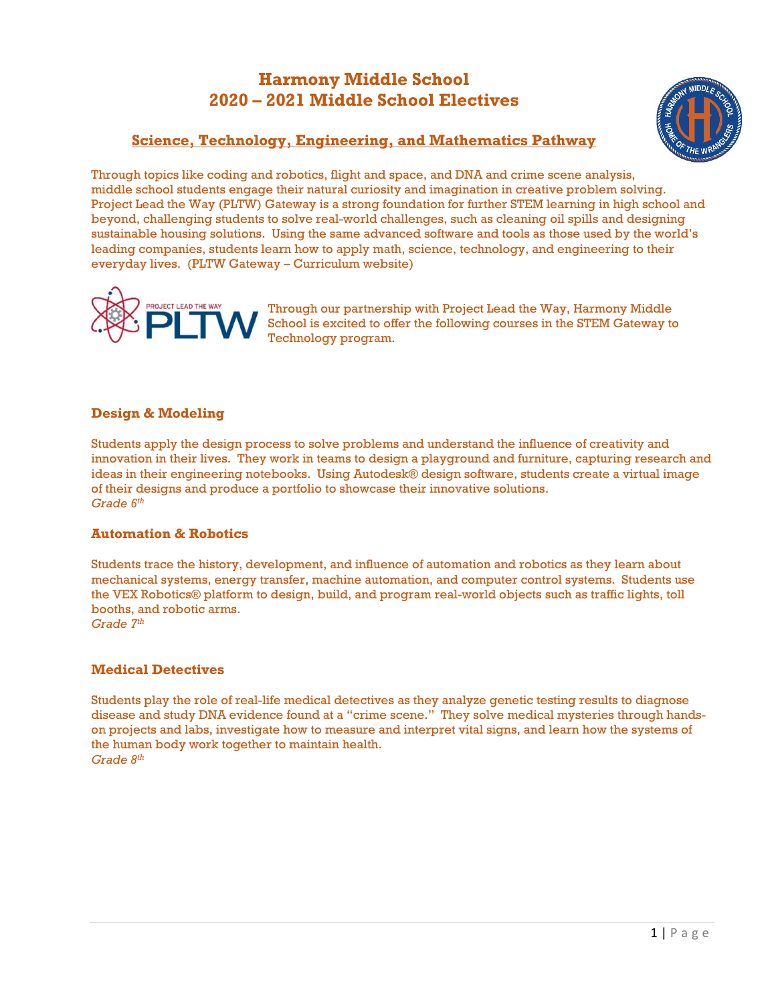# **Harmony Middle School 2020 – 2021 Middle School Electives**



# **Science, Technology, Engineering, and Mathematics Pathway**

Through topics like coding and robotics, flight and space, and DNA and crime scene analysis, middle school students engage their natural curiosity and imagination in creative problem solving. Project Lead the Way (PLTW) Gateway is a strong foundation for further STEM learning in high school and beyond, challenging students to solve real-world challenges, such as cleaning oil spills and designing sustainable housing solutions. Using the same advanced software and tools as those used by the world's leading companies, students learn how to apply math, science, technology, and engineering to their everyday lives. (PLTW Gateway – Curriculum website)



Through our partnership with Project Lead the Way, Harmony Middle School is excited to offer the following courses in the STEM Gateway to Technology program.

# **Design & Modeling**

Students apply the design process to solve problems and understand the influence of creativity and innovation in their lives. They work in teams to design a playground and furniture, capturing research and ideas in their engineering notebooks. Using Autodesk® design software, students create a virtual image of their designs and produce a portfolio to showcase their innovative solutions. *Grade 6th*

## **Automation & Robotics**

Students trace the history, development, and influence of automation and robotics as they learn about mechanical systems, energy transfer, machine automation, and computer control systems. Students use the VEX Robotics® platform to design, build, and program real-world objects such as traffic lights, toll booths, and robotic arms. *Grade 7th* 

## **Medical Detectives**

Students play the role of real-life medical detectives as they analyze genetic testing results to diagnose disease and study DNA evidence found at a "crime scene." They solve medical mysteries through handson projects and labs, investigate how to measure and interpret vital signs, and learn how the systems of the human body work together to maintain health. *Grade 8th*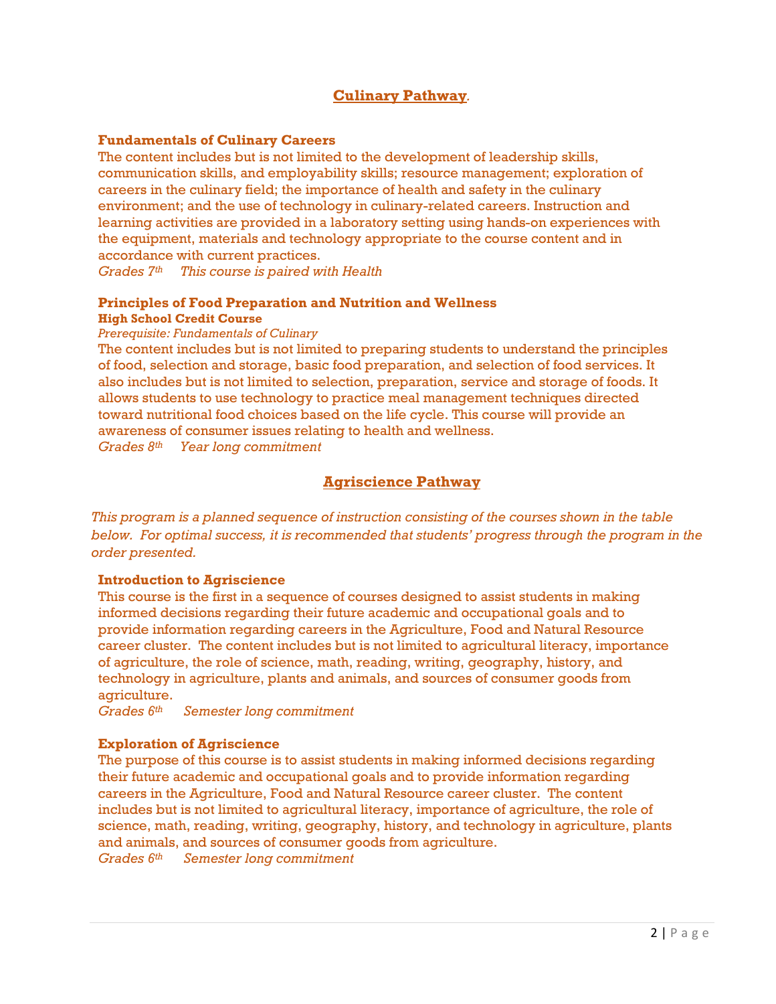# **Culinary Pathway***.*

## **Fundamentals of Culinary Careers**

The content includes but is not limited to the development of leadership skills, communication skills, and employability skills; resource management; exploration of careers in the culinary field; the importance of health and safety in the culinary environment; and the use of technology in culinary-related careers. Instruction and learning activities are provided in a laboratory setting using hands-on experiences with the equipment, materials and technology appropriate to the course content and in accordance with current practices.

*Grades 7th This course is paired with Health*

#### **Principles of Food Preparation and Nutrition and Wellness High School Credit Course**

*Prerequisite: Fundamentals of Culinary*

The content includes but is not limited to preparing students to understand the principles of food, selection and storage, basic food preparation, and selection of food services. It also includes but is not limited to selection, preparation, service and storage of foods. It allows students to use technology to practice meal management techniques directed toward nutritional food choices based on the life cycle. This course will provide an awareness of consumer issues relating to health and wellness. *Grades 8th Year long commitment*

# **Agriscience Pathway**

*This program is a planned sequence of instruction consisting of the courses shown in the table below. For optimal success, it is recommended that students' progress through the program in the order presented.* 

## **Introduction to Agriscience**

This course is the first in a sequence of courses designed to assist students in making informed decisions regarding their future academic and occupational goals and to provide information regarding careers in the Agriculture, Food and Natural Resource career cluster. The content includes but is not limited to agricultural literacy, importance of agriculture, the role of science, math, reading, writing, geography, history, and technology in agriculture, plants and animals, and sources of consumer goods from agriculture.

*Grades 6th Semester long commitment*

## **Exploration of Agriscience**

The purpose of this course is to assist students in making informed decisions regarding their future academic and occupational goals and to provide information regarding careers in the Agriculture, Food and Natural Resource career cluster. The content includes but is not limited to agricultural literacy, importance of agriculture, the role of science, math, reading, writing, geography, history, and technology in agriculture, plants and animals, and sources of consumer goods from agriculture. *Grades 6th Semester long commitment*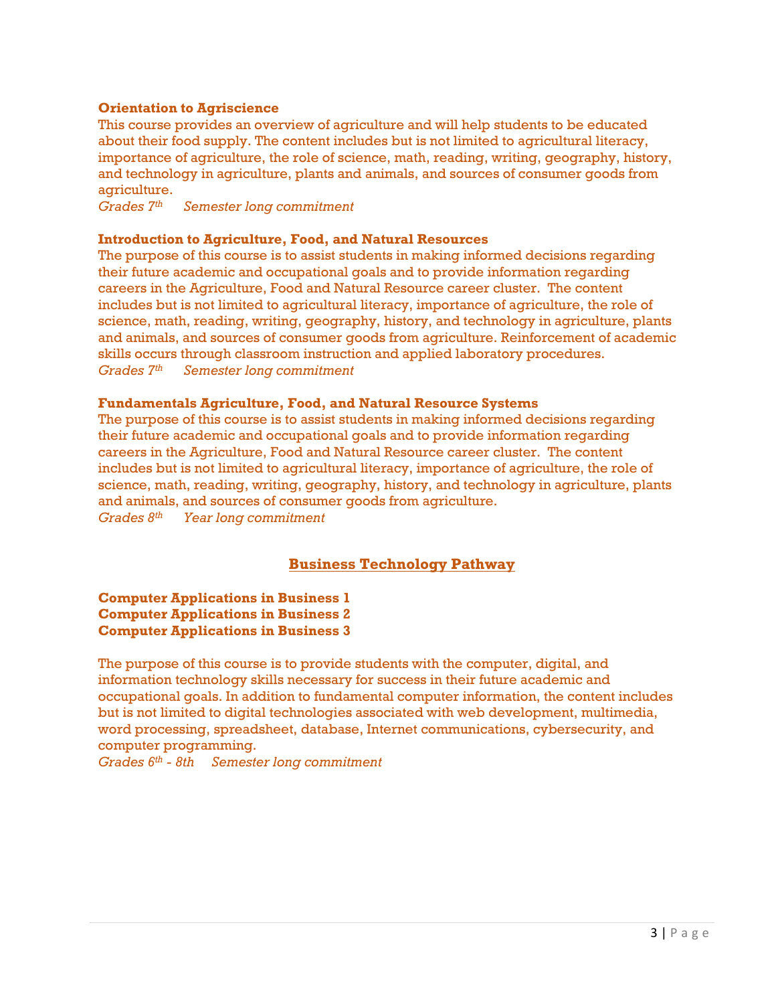# **Orientation to Agriscience**

This course provides an overview of agriculture and will help students to be educated about their food supply. The content includes but is not limited to agricultural literacy, importance of agriculture, the role of science, math, reading, writing, geography, history, and technology in agriculture, plants and animals, and sources of consumer goods from agriculture.

*Grades 7th Semester long commitment*

## **Introduction to Agriculture, Food, and Natural Resources**

The purpose of this course is to assist students in making informed decisions regarding their future academic and occupational goals and to provide information regarding careers in the Agriculture, Food and Natural Resource career cluster. The content includes but is not limited to agricultural literacy, importance of agriculture, the role of science, math, reading, writing, geography, history, and technology in agriculture, plants and animals, and sources of consumer goods from agriculture. Reinforcement of academic skills occurs through classroom instruction and applied laboratory procedures. *Grades 7th Semester long commitment*

#### **Fundamentals Agriculture, Food, and Natural Resource Systems**

The purpose of this course is to assist students in making informed decisions regarding their future academic and occupational goals and to provide information regarding careers in the Agriculture, Food and Natural Resource career cluster. The content includes but is not limited to agricultural literacy, importance of agriculture, the role of science, math, reading, writing, geography, history, and technology in agriculture, plants and animals, and sources of consumer goods from agriculture. *Grades 8th Year long commitment*

# **Business Technology Pathway**

**Computer Applications in Business 1 Computer Applications in Business 2 Computer Applications in Business 3**

The purpose of this course is to provide students with the computer, digital, and information technology skills necessary for success in their future academic and occupational goals. In addition to fundamental computer information, the content includes but is not limited to digital technologies associated with web development, multimedia, word processing, spreadsheet, database, Internet communications, cybersecurity, and computer programming.

*Grades 6th - 8th Semester long commitment*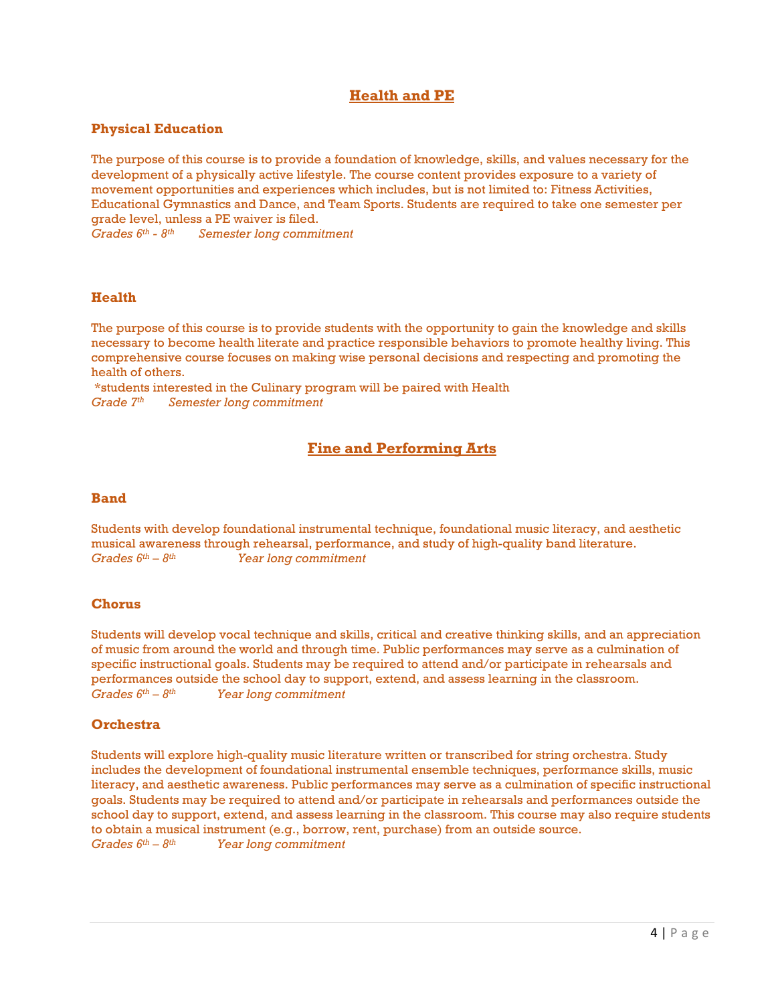# **Health and PE**

## **Physical Education**

The purpose of this course is to provide a foundation of knowledge, skills, and values necessary for the development of a physically active lifestyle. The course content provides exposure to a variety of movement opportunities and experiences which includes, but is not limited to: Fitness Activities, Educational Gymnastics and Dance, and Team Sports. Students are required to take one semester per grade level, unless a PE waiver is filed.

*Grades 6th - 8th Semester long commitment*

#### **Health**

The purpose of this course is to provide students with the opportunity to gain the knowledge and skills necessary to become health literate and practice responsible behaviors to promote healthy living. This comprehensive course focuses on making wise personal decisions and respecting and promoting the health of others.

\*students interested in the Culinary program will be paired with Health *Grade 7th Semester long commitment*

# **Fine and Performing Arts**

#### **Band**

Students with develop foundational instrumental technique, foundational music literacy, and aesthetic musical awareness through rehearsal, performance, and study of high-quality band literature. *Grades 6th – 8th Year long commitment*

#### **Chorus**

Students will develop vocal technique and skills, critical and creative thinking skills, and an appreciation of music from around the world and through time. Public performances may serve as a culmination of specific instructional goals. Students may be required to attend and/or participate in rehearsals and performances outside the school day to support, extend, and assess learning in the classroom. *Grades 6th – 8th Year long commitment*

# **Orchestra**

Students will explore high-quality music literature written or transcribed for string orchestra. Study includes the development of foundational instrumental ensemble techniques, performance skills, music literacy, and aesthetic awareness. Public performances may serve as a culmination of specific instructional goals. Students may be required to attend and/or participate in rehearsals and performances outside the school day to support, extend, and assess learning in the classroom. This course may also require students to obtain a musical instrument (e.g., borrow, rent, purchase) from an outside source.<br>Grades  $6^{th} - 8^{th}$  Year long commitment *Year long commitment*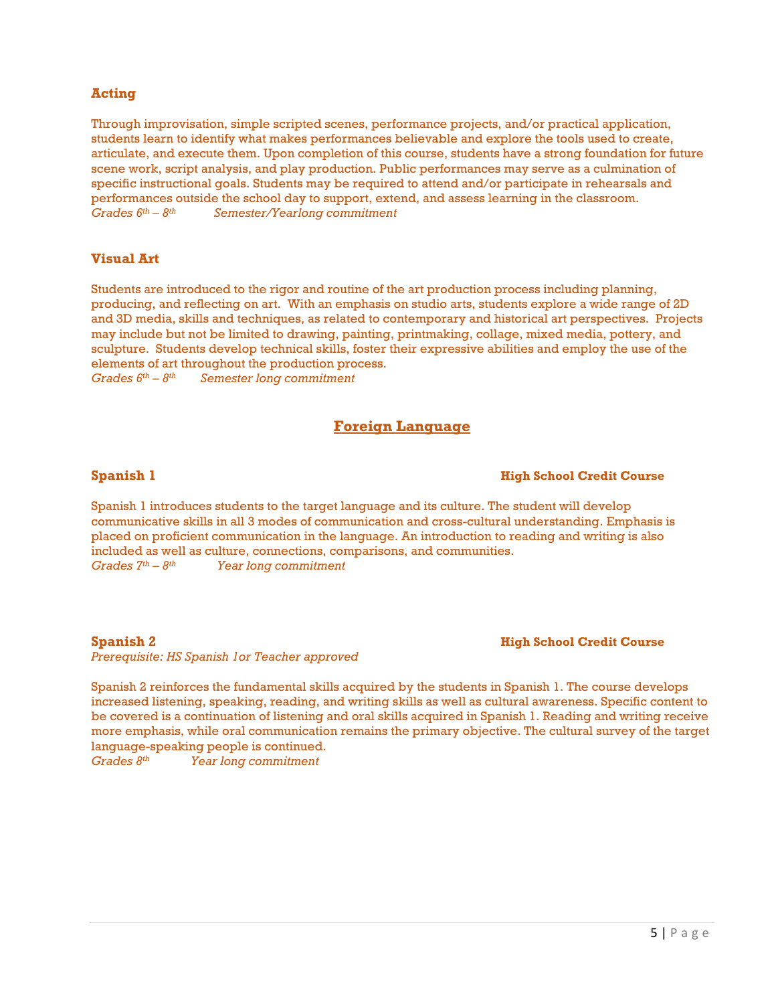## **Acting**

Through improvisation, simple scripted scenes, performance projects, and/or practical application, students learn to identify what makes performances believable and explore the tools used to create, articulate, and execute them. Upon completion of this course, students have a strong foundation for future scene work, script analysis, and play production. Public performances may serve as a culmination of specific instructional goals. Students may be required to attend and/or participate in rehearsals and performances outside the school day to support, extend, and assess learning in the classroom. *Grades 6th – 8th Semester/Yearlong commitment*

## **Visual Art**

Students are introduced to the rigor and routine of the art production process including planning, producing, and reflecting on art. With an emphasis on studio arts, students explore a wide range of 2D and 3D media, skills and techniques, as related to contemporary and historical art perspectives. Projects may include but not be limited to drawing, painting, printmaking, collage, mixed media, pottery, and sculpture. Students develop technical skills, foster their expressive abilities and employ the use of the elements of art throughout the production process. *Grades 6th – 8th Semester long commitment*

# **Foreign Language**

#### **Spanish 1 High School Credit Course**

Spanish 1 introduces students to the target language and its culture. The student will develop communicative skills in all 3 modes of communication and cross-cultural understanding. Emphasis is placed on proficient communication in the language. An introduction to reading and writing is also included as well as culture, connections, comparisons, and communities. *Grades 7th – 8th Year long commitment*

#### **Spanish 2 High School Credit Course**

*Prerequisite: HS Spanish 1or Teacher approved*

Spanish 2 reinforces the fundamental skills acquired by the students in Spanish 1. The course develops increased listening, speaking, reading, and writing skills as well as cultural awareness. Specific content to be covered is a continuation of listening and oral skills acquired in Spanish 1. Reading and writing receive more emphasis, while oral communication remains the primary objective. The cultural survey of the target language-speaking people is continued.

*Grades 8th Year long commitment*